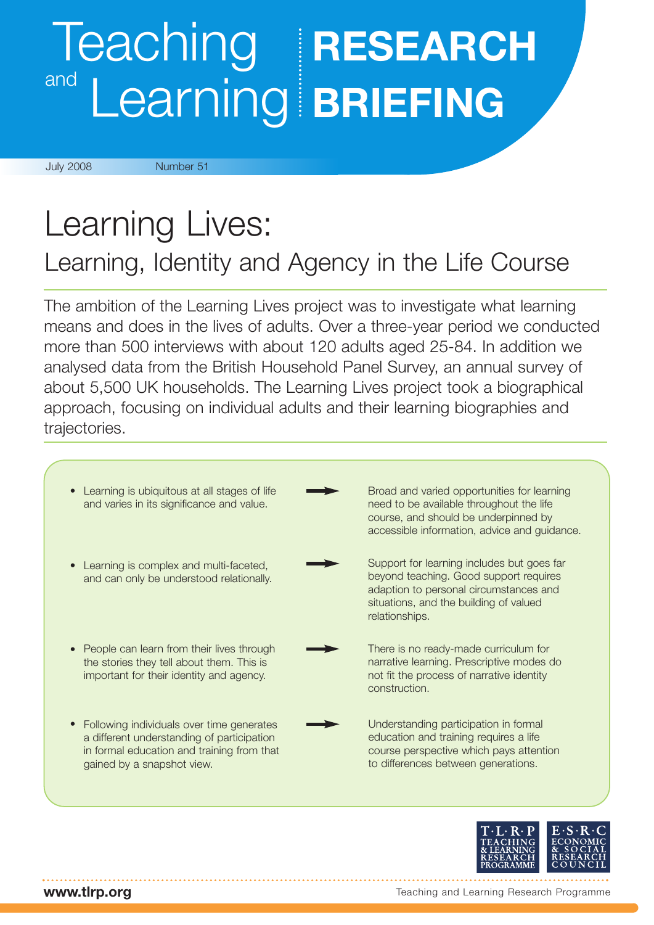## Teaching **RESEARCH** Learning **BRIEFING** and

July 2008 Number 51

## Learning Lives: Learning, Identity and Agency in the Life Course

The ambition of the Learning Lives project was to investigate what learning means and does in the lives of adults. Over a three-year period we conducted more than 500 interviews with about 120 adults aged 25-84. In addition we analysed data from the British Household Panel Survey, an annual survey of about 5,500 UK households. The Learning Lives project took a biographical approach, focusing on individual adults and their learning biographies and trajectories.

| Learning is ubiquitous at all stages of life<br>$\bullet$<br>and varies in its significance and value.                                                                           | Broad and varied opportunities for learning<br>need to be available throughout the life<br>course, and should be underpinned by<br>accessible information, advice and guidance.            |
|----------------------------------------------------------------------------------------------------------------------------------------------------------------------------------|--------------------------------------------------------------------------------------------------------------------------------------------------------------------------------------------|
| Learning is complex and multi-faceted,<br>and can only be understood relationally.                                                                                               | Support for learning includes but goes far<br>beyond teaching. Good support requires<br>adaption to personal circumstances and<br>situations, and the building of valued<br>relationships. |
| People can learn from their lives through<br>$\bullet$<br>the stories they tell about them. This is<br>important for their identity and agency.                                  | There is no ready-made curriculum for<br>narrative learning. Prescriptive modes do<br>not fit the process of narrative identity<br>construction.                                           |
| Following individuals over time generates<br>$\bullet$<br>a different understanding of participation<br>in formal education and training from that<br>gained by a snapshot view. | Understanding participation in formal<br>education and training requires a life<br>course perspective which pays attention<br>to differences between generations.                          |



**www.tlrp.org**

Teaching and Learning Research Programme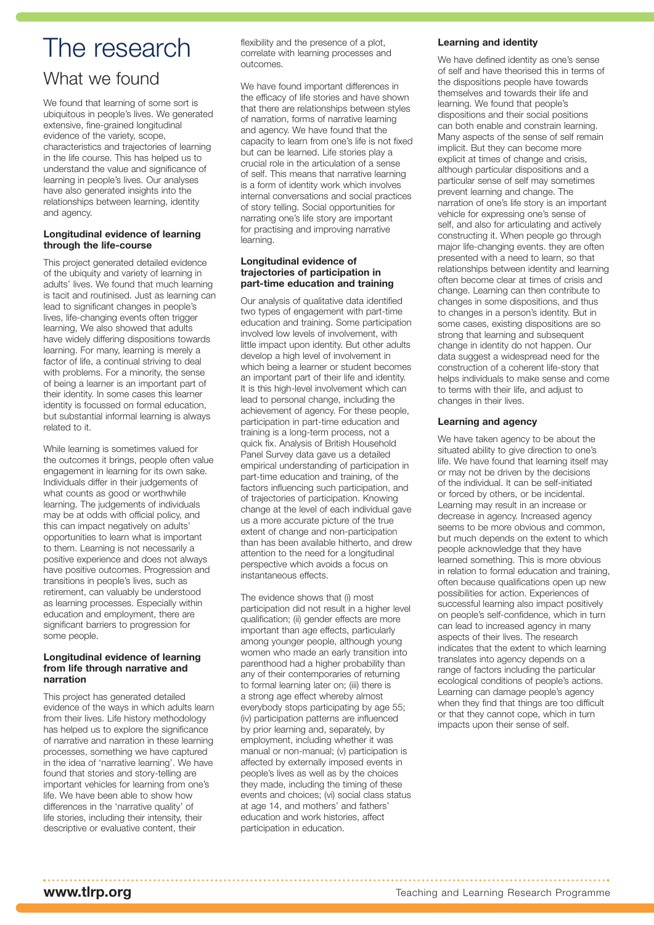## The research

### What we found

We found that learning of some sort is ubiquitous in people's lives. We generated extensive, fine-grained longitudinal evidence of the variety, scope, characteristics and trajectories of learning in the life course. This has helped us to understand the value and significance of learning in people's lives. Our analyses have also generated insights into the relationships between learning, identity and agency.

#### **Longitudinal evidence of learning through the life-course**

This project generated detailed evidence of the ubiquity and variety of learning in adults' lives. We found that much learning is tacit and routinised. Just as learning can lead to significant changes in people's lives, life-changing events often trigger learning, We also showed that adults have widely differing dispositions towards learning. For many, learning is merely a factor of life, a continual striving to deal with problems. For a minority, the sense of being a learner is an important part of their identity. In some cases this learner identity is focussed on formal education, but substantial informal learning is always related to it.

While learning is sometimes valued for the outcomes it brings, people often value engagement in learning for its own sake. Individuals differ in their judgements of what counts as good or worthwhile learning. The judgements of individuals may be at odds with official policy, and this can impact negatively on adults' opportunities to learn what is important to them. Learning is not necessarily a positive experience and does not always have positive outcomes. Progression and transitions in people's lives, such as retirement, can valuably be understood as learning processes. Especially within education and employment, there are significant barriers to progression for some people.

#### **Longitudinal evidence of learning from life through narrative and narration**

This project has generated detailed evidence of the ways in which adults learn from their lives. Life history methodology has helped us to explore the significance of narrative and narration in these learning processes, something we have captured in the idea of 'narrative learning'. We have found that stories and story-telling are important vehicles for learning from one's life. We have been able to show how differences in the 'narrative quality' of life stories, including their intensity, their descriptive or evaluative content, their

flexibility and the presence of a plot, correlate with learning processes and outcomes.

We have found important differences in the efficacy of life stories and have shown that there are relationships between styles of narration, forms of narrative learning and agency. We have found that the capacity to learn from one's life is not fixed but can be learned. Life stories play a crucial role in the articulation of a sense of self. This means that narrative learning is a form of identity work which involves internal conversations and social practices of story telling. Social opportunities for narrating one's life story are important for practising and improving narrative learning.

#### **Longitudinal evidence of trajectories of participation in part-time education and training**

Our analysis of qualitative data identified two types of engagement with part-time education and training. Some participation involved low levels of involvement, with little impact upon identity. But other adults develop a high level of involvement in which being a learner or student becomes an important part of their life and identity. It is this high-level involvement which can lead to personal change, including the achievement of agency. For these people, participation in part-time education and training is a long-term process, not a quick fix. Analysis of British Household Panel Survey data gave us a detailed empirical understanding of participation in part-time education and training, of the factors influencing such participation, and of trajectories of participation. Knowing change at the level of each individual gave us a more accurate picture of the true extent of change and non-participation than has been available hitherto, and drew attention to the need for a longitudinal perspective which avoids a focus on instantaneous effects.

The evidence shows that (i) most participation did not result in a higher level qualification; (ii) gender effects are more important than age effects, particularly among younger people, although young women who made an early transition into parenthood had a higher probability than any of their contemporaries of returning to formal learning later on; (iii) there is a strong age effect whereby almost everybody stops participating by age 55; (iv) participation patterns are influenced by prior learning and, separately, by employment, including whether it was manual or non-manual; (v) participation is affected by externally imposed events in people's lives as well as by the choices they made, including the timing of these events and choices; (vi) social class status at age 14, and mothers' and fathers' education and work histories, affect participation in education.

#### **Learning and identity**

We have defined identity as one's sense of self and have theorised this in terms of the dispositions people have towards themselves and towards their life and learning. We found that people's dispositions and their social positions can both enable and constrain learning. Many aspects of the sense of self remain implicit. But they can become more explicit at times of change and crisis, although particular dispositions and a particular sense of self may sometimes prevent learning and change. The narration of one's life story is an important vehicle for expressing one's sense of self, and also for articulating and actively constructing it. When people go through major life-changing events. they are often presented with a need to learn, so that relationships between identity and learning often become clear at times of crisis and change. Learning can then contribute to changes in some dispositions, and thus to changes in a person's identity. But in some cases, existing dispositions are so strong that learning and subsequent change in identity do not happen. Our data suggest a widespread need for the construction of a coherent life-story that helps individuals to make sense and come to terms with their life, and adjust to changes in their lives.

#### **Learning and agency**

We have taken agency to be about the situated ability to give direction to one's life. We have found that learning itself may or may not be driven by the decisions of the individual. It can be self-initiated or forced by others, or be incidental. Learning may result in an increase or decrease in agency. Increased agency seems to be more obvious and common, but much depends on the extent to which people acknowledge that they have learned something. This is more obvious in relation to formal education and training, often because qualifications open up new possibilities for action. Experiences of successful learning also impact positively on people's self-confidence, which in turn can lead to increased agency in many aspects of their lives. The research indicates that the extent to which learning translates into agency depends on a range of factors including the particular ecological conditions of people's actions. Learning can damage people's agency when they find that things are too difficult or that they cannot cope, which in turn impacts upon their sense of self.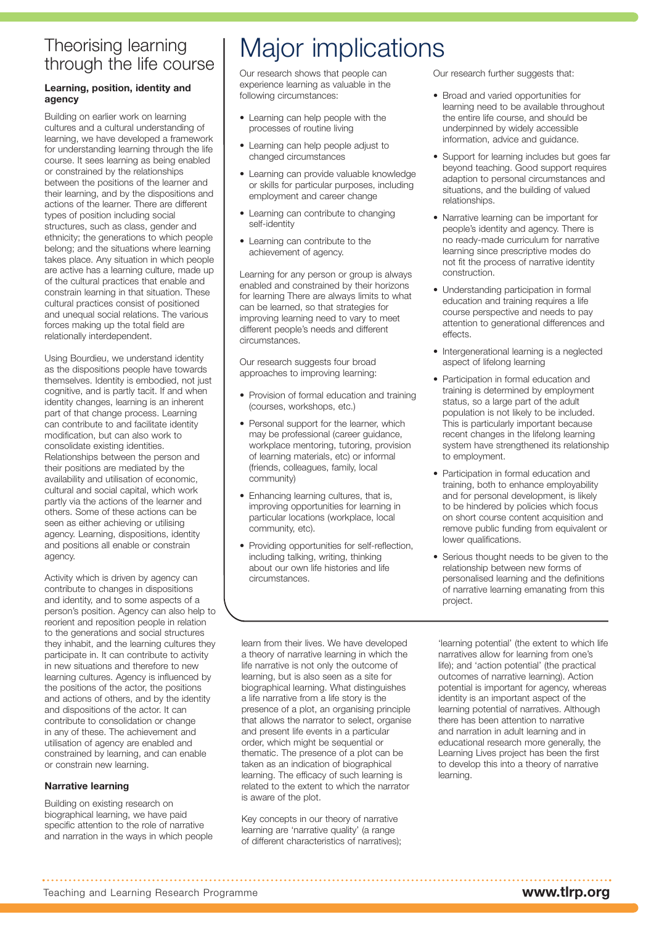#### Theorising learning through the life course

#### **Learning, position, identity and agency**

Building on earlier work on learning cultures and a cultural understanding of learning, we have developed a framework for understanding learning through the life course. It sees learning as being enabled or constrained by the relationships between the positions of the learner and their learning, and by the dispositions and actions of the learner. There are different types of position including social structures, such as class, gender and ethnicity; the generations to which people belong; and the situations where learning takes place. Any situation in which people are active has a learning culture, made up of the cultural practices that enable and constrain learning in that situation. These cultural practices consist of positioned and unequal social relations. The various forces making up the total field are relationally interdependent.

Using Bourdieu, we understand identity as the dispositions people have towards themselves. Identity is embodied, not just cognitive, and is partly tacit. If and when identity changes, learning is an inherent part of that change process. Learning can contribute to and facilitate identity modification, but can also work to consolidate existing identities. Relationships between the person and their positions are mediated by the availability and utilisation of economic, cultural and social capital, which work partly via the actions of the learner and others. Some of these actions can be seen as either achieving or utilising agency. Learning, dispositions, identity and positions all enable or constrain agency.

Activity which is driven by agency can contribute to changes in dispositions and identity, and to some aspects of a person's position. Agency can also help to reorient and reposition people in relation to the generations and social structures they inhabit, and the learning cultures they participate in. It can contribute to activity in new situations and therefore to new learning cultures. Agency is influenced by the positions of the actor, the positions and actions of others, and by the identity and dispositions of the actor. It can contribute to consolidation or change in any of these. The achievement and utilisation of agency are enabled and constrained by learning, and can enable or constrain new learning.

#### **Narrative learning**

Building on existing research on biographical learning, we have paid specific attention to the role of narrative and narration in the ways in which people

## Major implications

Our research shows that people can experience learning as valuable in the following circumstances:

- Learning can help people with the processes of routine living
- Learning can help people adjust to changed circumstances
- Learning can provide valuable knowledge or skills for particular purposes, including employment and career change
- Learning can contribute to changing self-identity
- Learning can contribute to the achievement of agency.

Learning for any person or group is always enabled and constrained by their horizons for learning There are always limits to what can be learned, so that strategies for improving learning need to vary to meet different people's needs and different circumstances.

Our research suggests four broad approaches to improving learning:

- Provision of formal education and training (courses, workshops, etc.)
- Personal support for the learner, which may be professional (career guidance, workplace mentoring, tutoring, provision of learning materials, etc) or informal (friends, colleagues, family, local community)
- Enhancing learning cultures, that is, improving opportunities for learning in particular locations (workplace, local community, etc).
- Providing opportunities for self-reflection, including talking, writing, thinking about our own life histories and life circumstances.

Our research further suggests that:

- Broad and varied opportunities for learning need to be available throughout the entire life course, and should be underpinned by widely accessible information, advice and guidance.
- Support for learning includes but goes far beyond teaching. Good support requires adaption to personal circumstances and situations, and the building of valued relationships.
- Narrative learning can be important for people's identity and agency. There is no ready-made curriculum for narrative learning since prescriptive modes do not fit the process of narrative identity construction.
- Understanding participation in formal education and training requires a life course perspective and needs to pay attention to generational differences and effects.
- Intergenerational learning is a neglected aspect of lifelong learning
- Participation in formal education and training is determined by employment status, so a large part of the adult population is not likely to be included. This is particularly important because recent changes in the lifelong learning system have strengthened its relationship to employment.
- Participation in formal education and training, both to enhance employability and for personal development, is likely to be hindered by policies which focus on short course content acquisition and remove public funding from equivalent or lower qualifications.
- Serious thought needs to be given to the relationship between new forms of personalised learning and the definitions of narrative learning emanating from this project.

learn from their lives. We have developed a theory of narrative learning in which the life narrative is not only the outcome of learning, but is also seen as a site for biographical learning. What distinguishes a life narrative from a life story is the presence of a plot, an organising principle that allows the narrator to select, organise and present life events in a particular order, which might be sequential or thematic. The presence of a plot can be taken as an indication of biographical learning. The efficacy of such learning is related to the extent to which the narrator is aware of the plot.

Key concepts in our theory of narrative learning are 'narrative quality' (a range of different characteristics of narratives);

'learning potential' (the extent to which life narratives allow for learning from one's life); and 'action potential' (the practical outcomes of narrative learning). Action potential is important for agency, whereas identity is an important aspect of the learning potential of narratives. Although there has been attention to narrative and narration in adult learning and in educational research more generally, the Learning Lives project has been the first to develop this into a theory of narrative learning.